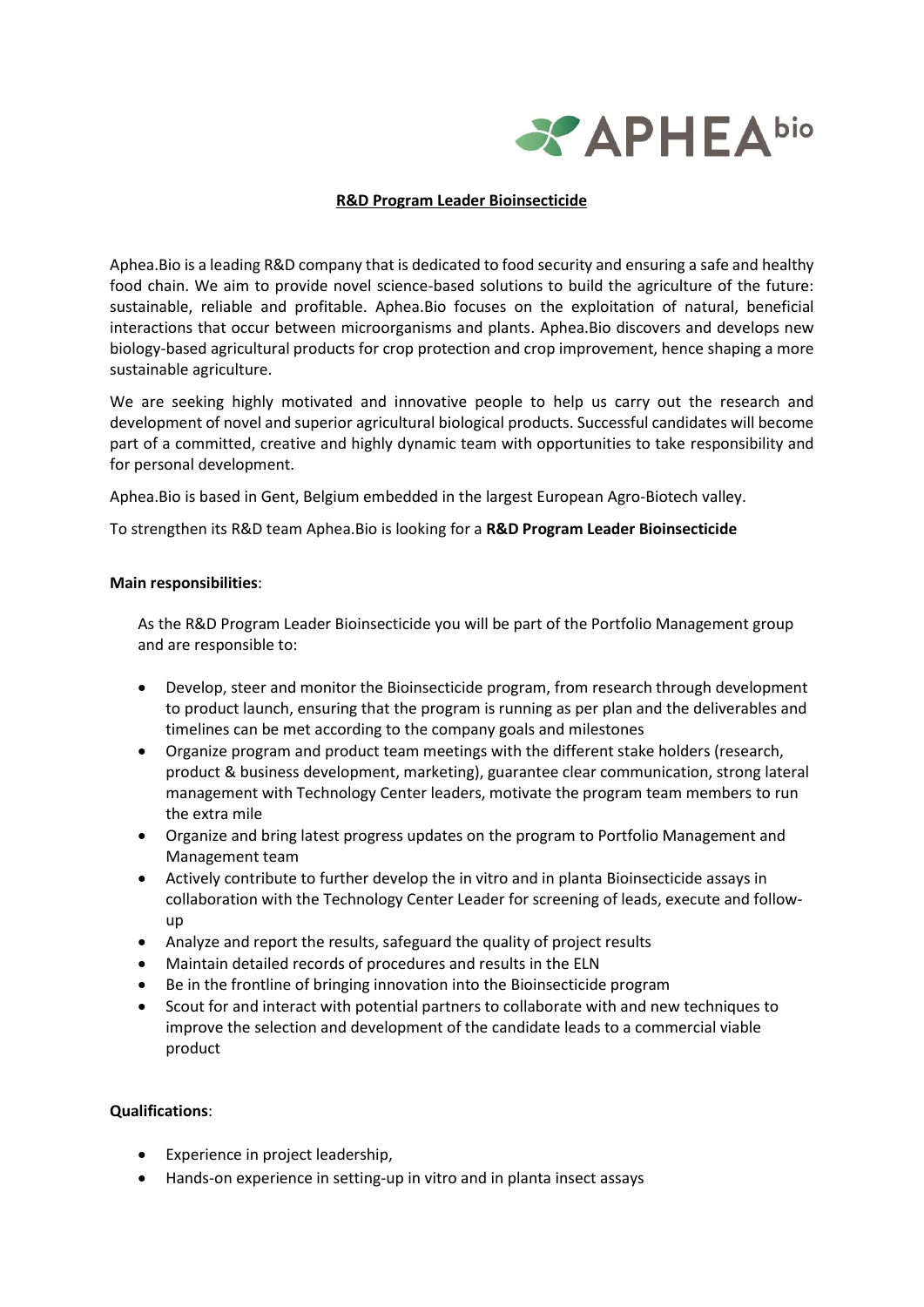

### **R&D Program Leader Bioinsecticide**

Aphea.Bio is a leading R&D company that is dedicated to food security and ensuring a safe and healthy food chain. We aim to provide novel science-based solutions to build the agriculture of the future: sustainable, reliable and profitable. Aphea.Bio focuses on the exploitation of natural, beneficial interactions that occur between microorganisms and plants. Aphea.Bio discovers and develops new biology-based agricultural products for crop protection and crop improvement, hence shaping a more sustainable agriculture.

We are seeking highly motivated and innovative people to help us carry out the research and development of novel and superior agricultural biological products. Successful candidates will become part of a committed, creative and highly dynamic team with opportunities to take responsibility and for personal development.

Aphea.Bio is based in Gent, Belgium embedded in the largest European Agro-Biotech valley.

To strengthen its R&D team Aphea.Bio is looking for a **R&D Program Leader Bioinsecticide**

#### **Main responsibilities**:

As the R&D Program Leader Bioinsecticide you will be part of the Portfolio Management group and are responsible to:

- Develop, steer and monitor the Bioinsecticide program, from research through development to product launch, ensuring that the program is running as per plan and the deliverables and timelines can be met according to the company goals and milestones
- Organize program and product team meetings with the different stake holders (research, product & business development, marketing), guarantee clear communication, strong lateral management with Technology Center leaders, motivate the program team members to run the extra mile
- Organize and bring latest progress updates on the program to Portfolio Management and Management team
- Actively contribute to further develop the in vitro and in planta Bioinsecticide assays in collaboration with the Technology Center Leader for screening of leads, execute and followup
- Analyze and report the results, safeguard the quality of project results
- Maintain detailed records of procedures and results in the ELN
- Be in the frontline of bringing innovation into the Bioinsecticide program
- Scout for and interact with potential partners to collaborate with and new techniques to improve the selection and development of the candidate leads to a commercial viable product

#### **Qualifications**:

- Experience in project leadership,
- Hands-on experience in setting-up in vitro and in planta insect assays